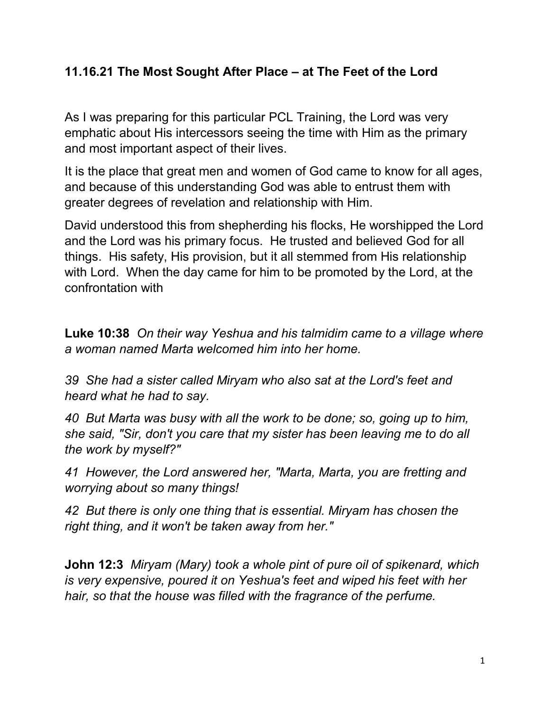## **11.16.21 The Most Sought After Place – at The Feet of the Lord**

As I was preparing for this particular PCL Training, the Lord was very emphatic about His intercessors seeing the time with Him as the primary and most important aspect of their lives.

It is the place that great men and women of God came to know for all ages, and because of this understanding God was able to entrust them with greater degrees of revelation and relationship with Him.

David understood this from shepherding his flocks, He worshipped the Lord and the Lord was his primary focus. He trusted and believed God for all things. His safety, His provision, but it all stemmed from His relationship with Lord. When the day came for him to be promoted by the Lord, at the confrontation with

**Luke 10:38** *On their way Yeshua and his talmidim came to a village where a woman named Marta welcomed him into her home.* 

*39 She had a sister called Miryam who also sat at the Lord's feet and heard what he had to say.*

*40 But Marta was busy with all the work to be done; so, going up to him, she said, "Sir, don't you care that my sister has been leaving me to do all the work by myself?"*

*41 However, the Lord answered her, "Marta, Marta, you are fretting and worrying about so many things!*

*42 But there is only one thing that is essential. Miryam has chosen the right thing, and it won't be taken away from her."*

**John 12:3** *Miryam (Mary) took a whole pint of pure oil of spikenard, which is very expensive, poured it on Yeshua's feet and wiped his feet with her hair, so that the house was filled with the fragrance of the perfume.*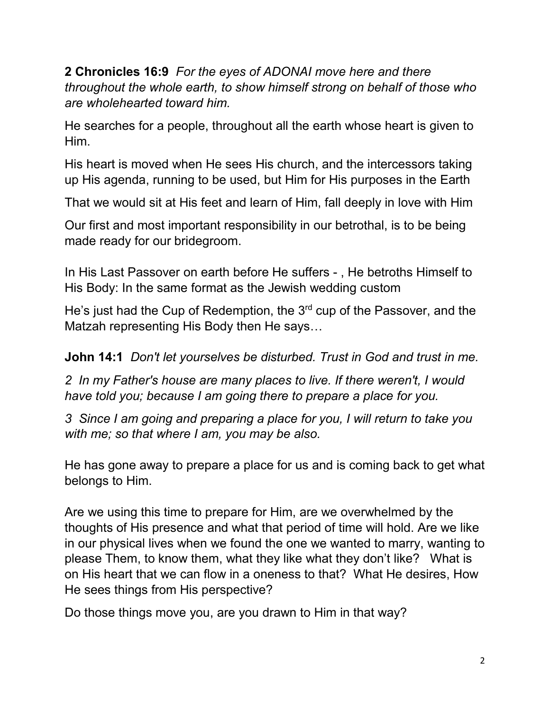**2 Chronicles 16:9** *For the eyes of ADONAI move here and there throughout the whole earth, to show himself strong on behalf of those who are wholehearted toward him.*

He searches for a people, throughout all the earth whose heart is given to Him.

His heart is moved when He sees His church, and the intercessors taking up His agenda, running to be used, but Him for His purposes in the Earth

That we would sit at His feet and learn of Him, fall deeply in love with Him

Our first and most important responsibility in our betrothal, is to be being made ready for our bridegroom.

In His Last Passover on earth before He suffers - , He betroths Himself to His Body: In the same format as the Jewish wedding custom

He's just had the Cup of Redemption, the 3<sup>rd</sup> cup of the Passover, and the Matzah representing His Body then He says…

**John 14:1** *Don't let yourselves be disturbed. Trust in God and trust in me.*

*2 In my Father's house are many places to live. If there weren't, I would have told you; because I am going there to prepare a place for you.*

*3 Since I am going and preparing a place for you, I will return to take you with me; so that where I am, you may be also.*

He has gone away to prepare a place for us and is coming back to get what belongs to Him.

Are we using this time to prepare for Him, are we overwhelmed by the thoughts of His presence and what that period of time will hold. Are we like in our physical lives when we found the one we wanted to marry, wanting to please Them, to know them, what they like what they don't like? What is on His heart that we can flow in a oneness to that? What He desires, How He sees things from His perspective?

Do those things move you, are you drawn to Him in that way?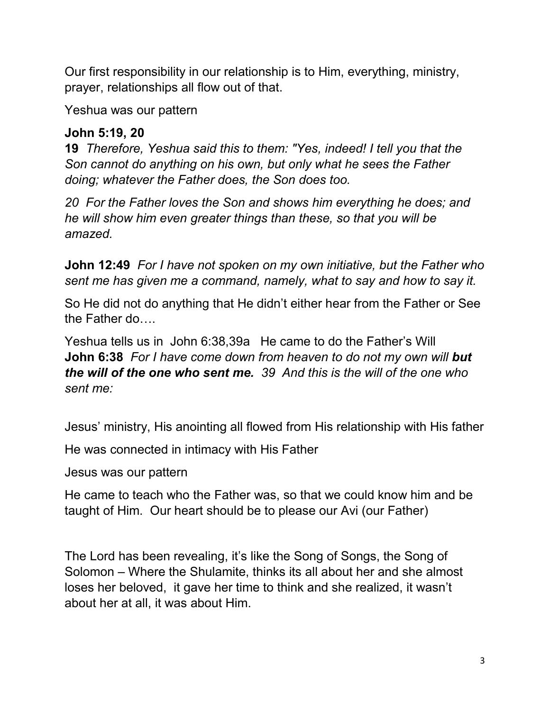Our first responsibility in our relationship is to Him, everything, ministry, prayer, relationships all flow out of that.

Yeshua was our pattern

## **John 5:19, 20**

**19** *Therefore, Yeshua said this to them: "Yes, indeed! I tell you that the Son cannot do anything on his own, but only what he sees the Father doing; whatever the Father does, the Son does too.*

*20 For the Father loves the Son and shows him everything he does; and he will show him even greater things than these, so that you will be amazed.*

**John 12:49** *For I have not spoken on my own initiative, but the Father who sent me has given me a command, namely, what to say and how to say it.*

So He did not do anything that He didn't either hear from the Father or See the Father do….

Yeshua tells us in John 6:38,39a He came to do the Father's Will **John 6:38** *For I have come down from heaven to do not my own will but the will of the one who sent me. 39 And this is the will of the one who sent me:*

Jesus' ministry, His anointing all flowed from His relationship with His father

He was connected in intimacy with His Father

Jesus was our pattern

He came to teach who the Father was, so that we could know him and be taught of Him. Our heart should be to please our Avi (our Father)

The Lord has been revealing, it's like the Song of Songs, the Song of Solomon – Where the Shulamite, thinks its all about her and she almost loses her beloved, it gave her time to think and she realized, it wasn't about her at all, it was about Him.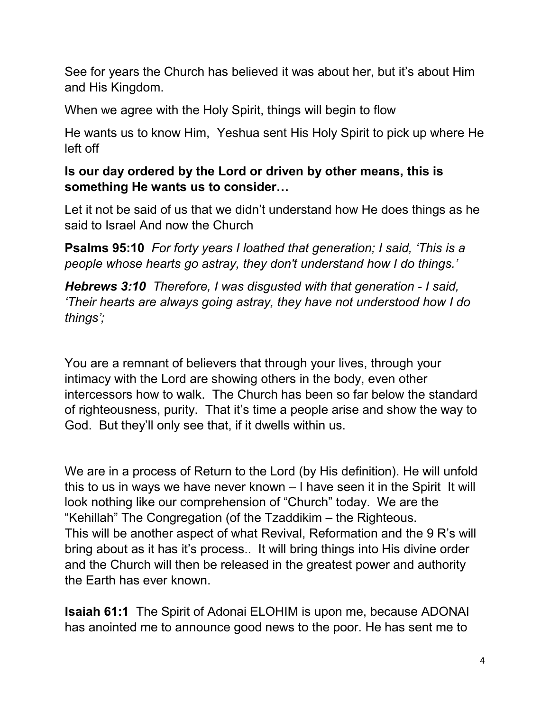See for years the Church has believed it was about her, but it's about Him and His Kingdom.

When we agree with the Holy Spirit, things will begin to flow

He wants us to know Him, Yeshua sent His Holy Spirit to pick up where He left off

## **Is our day ordered by the Lord or driven by other means, this is something He wants us to consider…**

Let it not be said of us that we didn't understand how He does things as he said to Israel And now the Church

**Psalms 95:10** *For forty years I loathed that generation; I said, 'This is a people whose hearts go astray, they don't understand how I do things.'*

*Hebrews 3:10 Therefore, I was disgusted with that generation - I said, 'Their hearts are always going astray, they have not understood how I do things';*

You are a remnant of believers that through your lives, through your intimacy with the Lord are showing others in the body, even other intercessors how to walk. The Church has been so far below the standard of righteousness, purity. That it's time a people arise and show the way to God. But they'll only see that, if it dwells within us.

We are in a process of Return to the Lord (by His definition). He will unfold this to us in ways we have never known – I have seen it in the Spirit It will look nothing like our comprehension of "Church" today. We are the "Kehillah" The Congregation (of the Tzaddikim – the Righteous. This will be another aspect of what Revival, Reformation and the 9 R's will bring about as it has it's process.. It will bring things into His divine order and the Church will then be released in the greatest power and authority the Earth has ever known.

**Isaiah 61:1** The Spirit of Adonai ELOHIM is upon me, because ADONAI has anointed me to announce good news to the poor. He has sent me to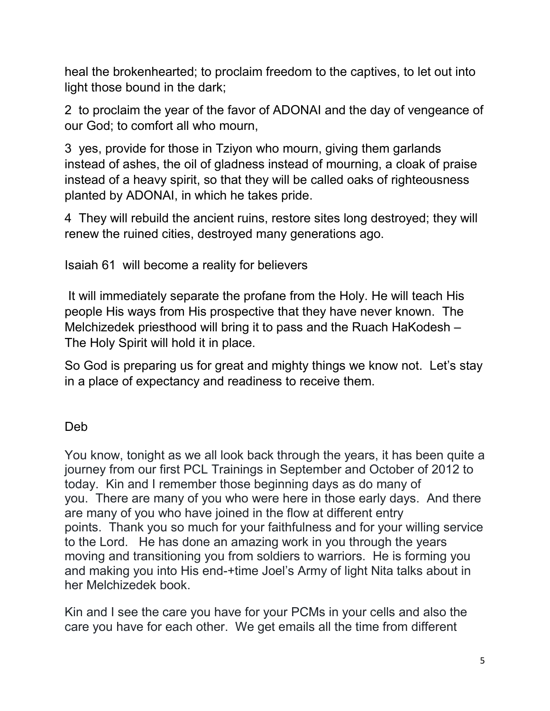heal the brokenhearted; to proclaim freedom to the captives, to let out into light those bound in the dark;

2 to proclaim the year of the favor of ADONAI and the day of vengeance of our God; to comfort all who mourn,

3 yes, provide for those in Tziyon who mourn, giving them garlands instead of ashes, the oil of gladness instead of mourning, a cloak of praise instead of a heavy spirit, so that they will be called oaks of righteousness planted by ADONAI, in which he takes pride.

4 They will rebuild the ancient ruins, restore sites long destroyed; they will renew the ruined cities, destroyed many generations ago.

Isaiah 61 will become a reality for believers

It will immediately separate the profane from the Holy. He will teach His people His ways from His prospective that they have never known. The Melchizedek priesthood will bring it to pass and the Ruach HaKodesh – The Holy Spirit will hold it in place.

So God is preparing us for great and mighty things we know not. Let's stay in a place of expectancy and readiness to receive them.

## Deb

You know, tonight as we all look back through the years, it has been quite a journey from our first PCL Trainings in September and October of 2012 to today. Kin and I remember those beginning days as do many of you. There are many of you who were here in those early days. And there are many of you who have joined in the flow at different entry points. Thank you so much for your faithfulness and for your willing service to the Lord. He has done an amazing work in you through the years moving and transitioning you from soldiers to warriors. He is forming you and making you into His end-+time Joel's Army of light Nita talks about in her Melchizedek book.

Kin and I see the care you have for your PCMs in your cells and also the care you have for each other. We get emails all the time from different